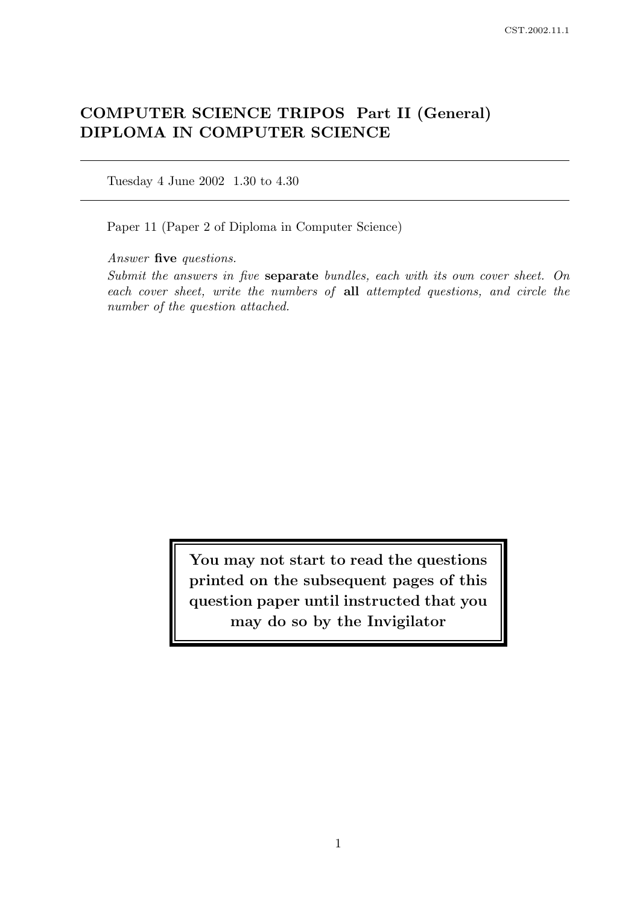# COMPUTER SCIENCE TRIPOS Part II (General) DIPLOMA IN COMPUTER SCIENCE

Tuesday 4 June 2002 1.30 to 4.30

Paper 11 (Paper 2 of Diploma in Computer Science)

Answer five questions.

Submit the answers in five separate bundles, each with its own cover sheet. On each cover sheet, write the numbers of all attempted questions, and circle the number of the question attached.

> You may not start to read the questions printed on the subsequent pages of this question paper until instructed that you may do so by the Invigilator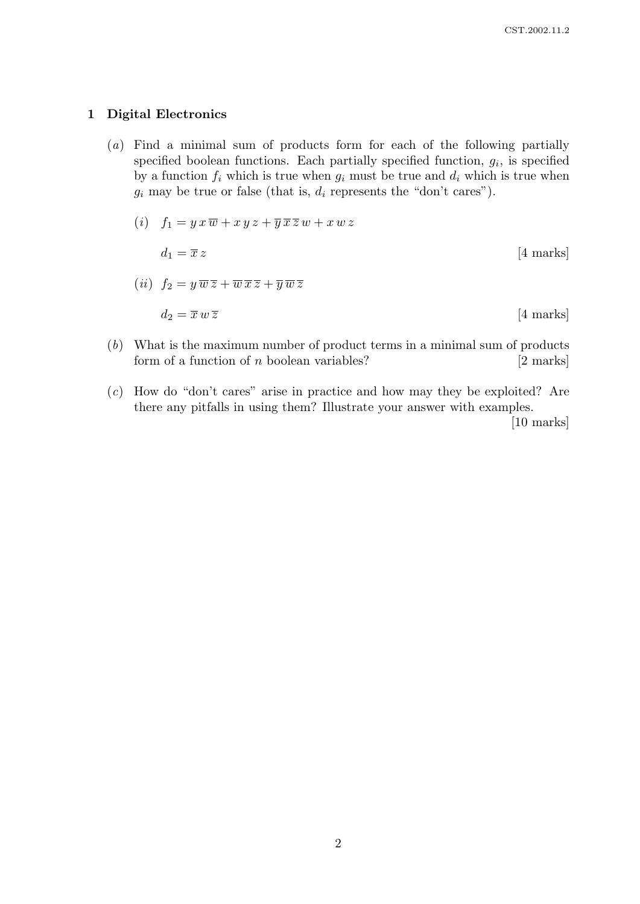#### 1 Digital Electronics

(a) Find a minimal sum of products form for each of the following partially specified boolean functions. Each partially specified function,  $g_i$ , is specified by a function  $f_i$  which is true when  $g_i$  must be true and  $d_i$  which is true when  $g_i$  may be true or false (that is,  $d_i$  represents the "don't cares").

$$
(i) \quad f_1 = y \, x \, \overline{w} + x \, y \, z + \overline{y} \, \overline{x} \, \overline{z} \, w + x \, w \, z
$$
\n
$$
d_1 = \overline{x} \, z \qquad [4 \text{ marks}]
$$
\n
$$
(ii) \quad f_2 = y \, \overline{w} \, \overline{z} + \overline{w} \, \overline{x} \, \overline{z} + \overline{y} \, \overline{w} \, \overline{z} \qquad [4 \text{ marks}]
$$
\n
$$
d_2 = \overline{x} \, w \, \overline{z} \qquad [4 \text{ marks}]
$$

- (b) What is the maximum number of product terms in a minimal sum of products form of a function of  $n$  boolean variables? [2 marks]
- (c) How do "don't cares" arise in practice and how may they be exploited? Are there any pitfalls in using them? Illustrate your answer with examples.

[10 marks]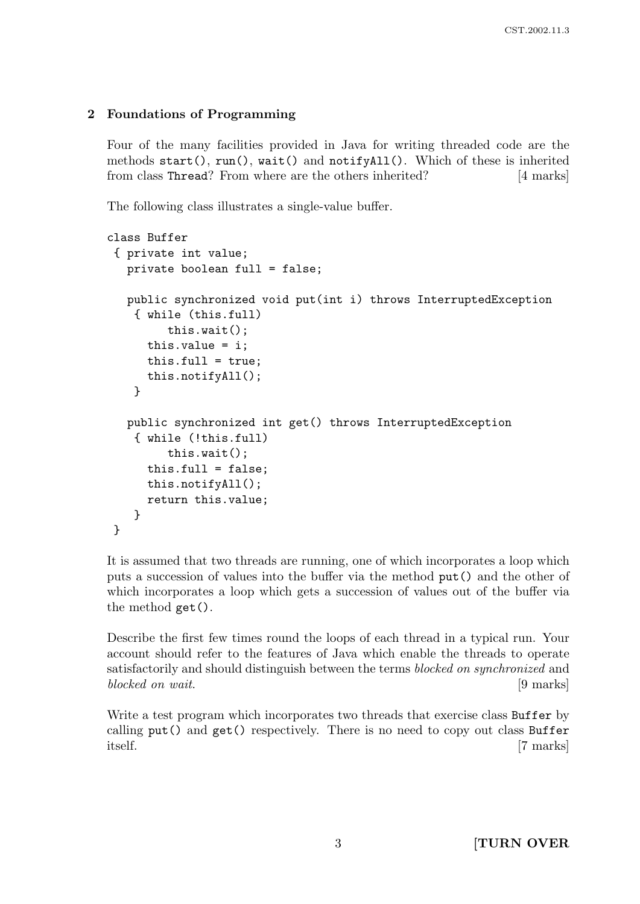## 2 Foundations of Programming

Four of the many facilities provided in Java for writing threaded code are the methods start(), run(), wait() and notifyAll(). Which of these is inherited from class Thread? From where are the others inherited? [4 marks]

The following class illustrates a single-value buffer.

```
class Buffer
 { private int value;
  private boolean full = false;
  public synchronized void put(int i) throws InterruptedException
    { while (this.full)
         this.wait();
      this.value = i;
      this-full = true:
      this.notifyAll();
    }
  public synchronized int get() throws InterruptedException
    { while (!this.full)
         this.wait();
      this-full = false;this.notifyAll();
      return this.value;
    }
}
```
It is assumed that two threads are running, one of which incorporates a loop which puts a succession of values into the buffer via the method put() and the other of which incorporates a loop which gets a succession of values out of the buffer via the method get().

Describe the first few times round the loops of each thread in a typical run. Your account should refer to the features of Java which enable the threads to operate satisfactorily and should distinguish between the terms blocked on synchronized and blocked on wait. [9 marks]

Write a test program which incorporates two threads that exercise class Buffer by calling put() and get() respectively. There is no need to copy out class Buffer itself. [7 marks]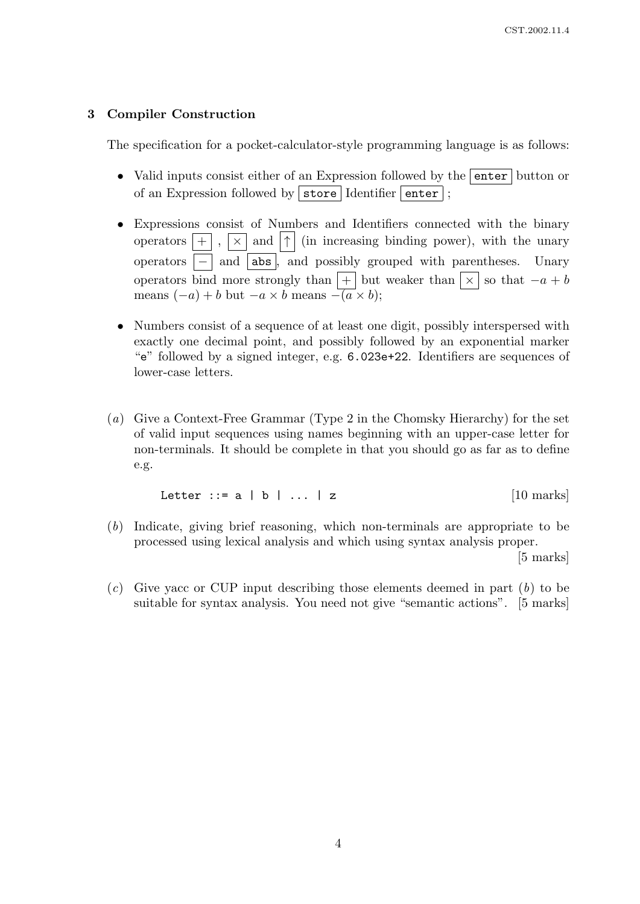## 3 Compiler Construction

The specification for a pocket-calculator-style programming language is as follows:

- Valid inputs consist either of an Expression followed by the enter button or of an Expression followed by  $|\,\text{store}|$  Identifier  $|\,\text{enter}|$ ;
- Expressions consist of Numbers and Identifiers connected with the binary operators  $\boxed{+}$ ,  $\boxed{\times}$  and  $\boxed{\uparrow}$  (in increasing binding power), with the unary operators  $\vert - \vert$  and  $\vert$  abs  $\vert$ , and possibly grouped with parentheses. Unary operators bind more strongly than  $|+|$  but weaker than  $|\times|$  so that  $-a + b$ means  $(-a) + b$  but  $-a \times b$  means  $-\overline{(a} \times b)$ ;
- Numbers consist of a sequence of at least one digit, possibly interspersed with exactly one decimal point, and possibly followed by an exponential marker "e" followed by a signed integer, e.g. 6.023e+22. Identifiers are sequences of lower-case letters.
- (a) Give a Context-Free Grammar (Type 2 in the Chomsky Hierarchy) for the set of valid input sequences using names beginning with an upper-case letter for non-terminals. It should be complete in that you should go as far as to define e.g.

$$
Letter :: = a | b | ... | z
$$
 [10 marks]

(b) Indicate, giving brief reasoning, which non-terminals are appropriate to be processed using lexical analysis and which using syntax analysis proper.

[5 marks]

 $(c)$  Give yacc or CUP input describing those elements deemed in part  $(b)$  to be suitable for syntax analysis. You need not give "semantic actions". [5 marks]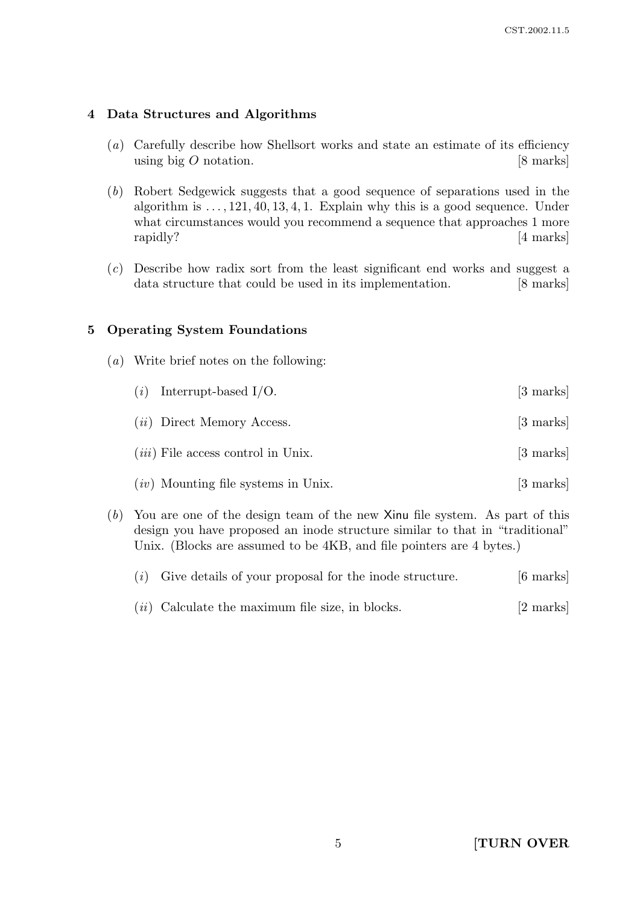#### 4 Data Structures and Algorithms

- (a) Carefully describe how Shellsort works and state an estimate of its efficiency using big  $O$  notation. [8 marks]
- (b) Robert Sedgewick suggests that a good sequence of separations used in the algorithm is  $\dots$ , 121, 40, 13, 4, 1. Explain why this is a good sequence. Under what circumstances would you recommend a sequence that approaches 1 more rapidly? [4 marks]
- (c) Describe how radix sort from the least significant end works and suggest a data structure that could be used in its implementation. [8 marks]

#### 5 Operating System Foundations

(a) Write brief notes on the following:

| $(i)$ Interrupt-based I/O.            | [3 marks]           |
|---------------------------------------|---------------------|
| $(ii)$ Direct Memory Access.          | [3 marks]           |
| $(iii)$ File access control in Unix.  | $[3 \text{ marks}]$ |
| $(iv)$ Mounting file systems in Unix. | $[3 \text{ marks}]$ |

(b) You are one of the design team of the new Xinu file system. As part of this design you have proposed an inode structure similar to that in "traditional" Unix. (Blocks are assumed to be 4KB, and file pointers are 4 bytes.)

| $(i)$ Give details of your proposal for the inode structure. | $[6 \text{ marks}]$ |
|--------------------------------------------------------------|---------------------|
| $(ii)$ Calculate the maximum file size, in blocks.           | [2 marks]           |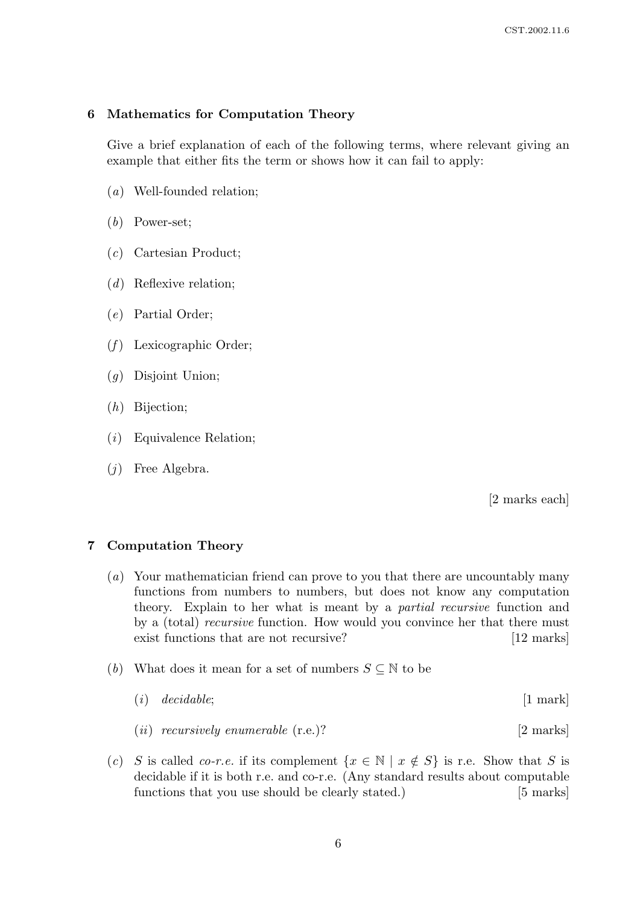#### 6 Mathematics for Computation Theory

Give a brief explanation of each of the following terms, where relevant giving an example that either fits the term or shows how it can fail to apply:

- (a) Well-founded relation;
- (b) Power-set;
- (c) Cartesian Product;
- (d) Reflexive relation;
- (e) Partial Order;
- $(f)$  Lexicographic Order;
- (g) Disjoint Union;
- (h) Bijection;
- (i) Equivalence Relation;
- (j) Free Algebra.

[2 marks each]

#### 7 Computation Theory

- (a) Your mathematician friend can prove to you that there are uncountably many functions from numbers to numbers, but does not know any computation theory. Explain to her what is meant by a partial recursive function and by a (total) recursive function. How would you convince her that there must exist functions that are not recursive? [12 marks]
- (b) What does it mean for a set of numbers  $S \subseteq \mathbb{N}$  to be
	- $(i)$  decidable;  $[1 \text{ mark}]$
	- (*ii*) recursively enumerable  $(r.e.)$ ? [2 marks]
- (c) S is called co-r.e. if its complement  $\{x \in \mathbb{N} \mid x \notin S\}$  is r.e. Show that S is decidable if it is both r.e. and co-r.e. (Any standard results about computable functions that you use should be clearly stated.) [5 marks]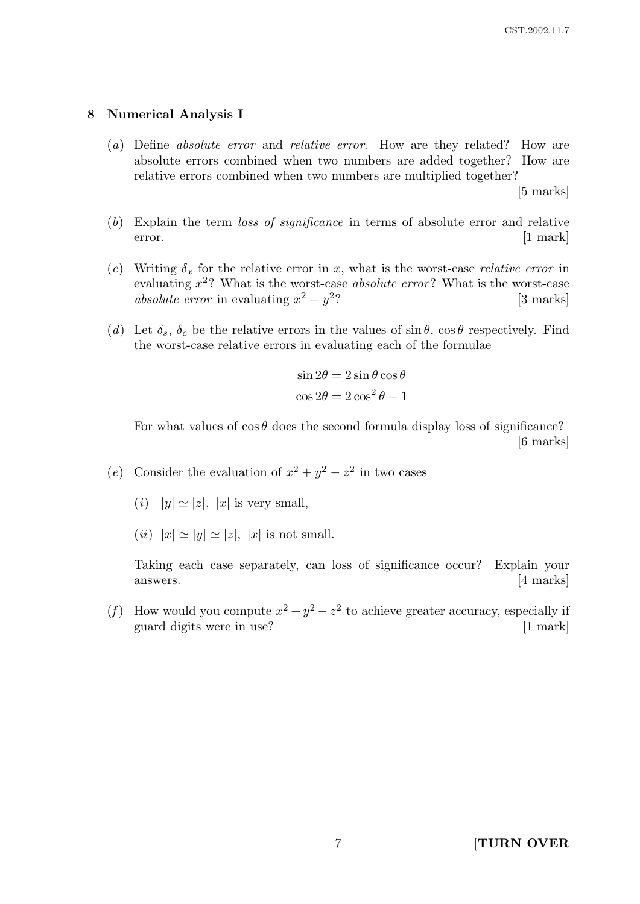#### 8 Numerical Analysis I

(a) Define absolute error and relative error. How are they related? How are absolute errors combined when two numbers are added together? How are relative errors combined when two numbers are multiplied together?

[5 marks]

- (b) Explain the term loss of significance in terms of absolute error and relative error. [1 mark]
- (c) Writing  $\delta_x$  for the relative error in x, what is the worst-case *relative error* in evaluating  $x^2$ ? What is the worst-case *absolute error*? What is the worst-case absolute error in evaluating  $x^2 - y^2$ [3 marks]
- (d) Let  $\delta_s$ ,  $\delta_c$  be the relative errors in the values of  $\sin \theta$ ,  $\cos \theta$  respectively. Find the worst-case relative errors in evaluating each of the formulae

$$
\sin 2\theta = 2\sin \theta \cos \theta
$$

$$
\cos 2\theta = 2\cos^2 \theta - 1
$$

For what values of  $\cos \theta$  does the second formula display loss of significance? [6 marks]

- (e) Consider the evaluation of  $x^2 + y^2 z^2$  in two cases
	- (*i*)  $|y| \simeq |z|, |x|$  is very small,
	- (*ii*)  $|x| \simeq |y| \simeq |z|$ ,  $|x|$  is not small.

Taking each case separately, can loss of significance occur? Explain your answers. [4 marks]

(f) How would you compute  $x^2 + y^2 - z^2$  to achieve greater accuracy, especially if guard digits were in use? [1 mark]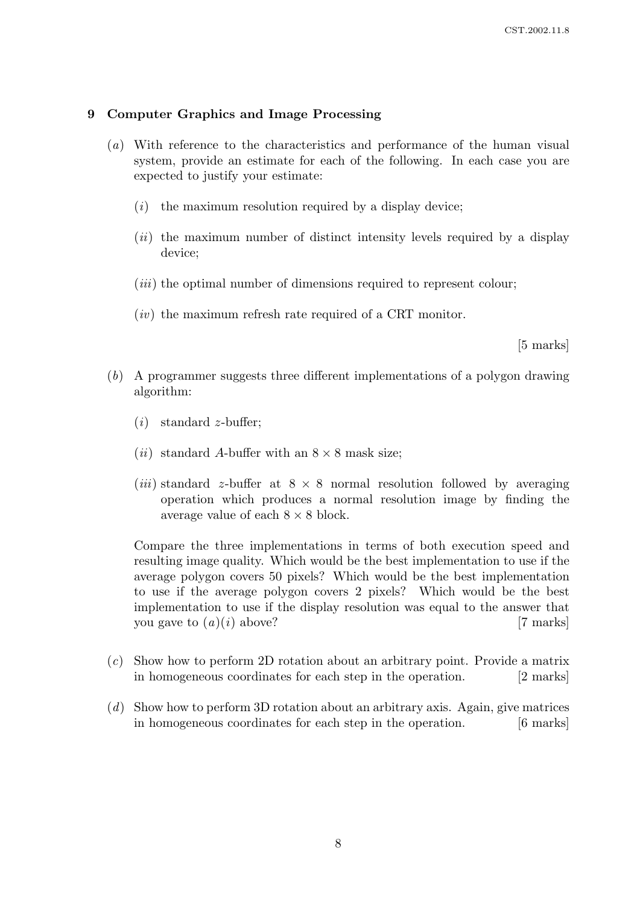#### 9 Computer Graphics and Image Processing

- (a) With reference to the characteristics and performance of the human visual system, provide an estimate for each of the following. In each case you are expected to justify your estimate:
	- $(i)$  the maximum resolution required by a display device;
	- $(ii)$  the maximum number of distinct intensity levels required by a display device;
	- $(iii)$  the optimal number of dimensions required to represent colour;
	- $(iv)$  the maximum refresh rate required of a CRT monitor.

[5 marks]

- (b) A programmer suggests three different implementations of a polygon drawing algorithm:
	- $(i)$  standard *z*-buffer;
	- (*ii*) standard A-buffer with an  $8 \times 8$  mask size;
	- (*iii*) standard z-buffer at  $8 \times 8$  normal resolution followed by averaging operation which produces a normal resolution image by finding the average value of each  $8 \times 8$  block.

Compare the three implementations in terms of both execution speed and resulting image quality. Which would be the best implementation to use if the average polygon covers 50 pixels? Which would be the best implementation to use if the average polygon covers 2 pixels? Which would be the best implementation to use if the display resolution was equal to the answer that you gave to  $(a)(i)$  above? [7 marks]

- (c) Show how to perform 2D rotation about an arbitrary point. Provide a matrix in homogeneous coordinates for each step in the operation. [2 marks]
- (d) Show how to perform 3D rotation about an arbitrary axis. Again, give matrices in homogeneous coordinates for each step in the operation. [6 marks]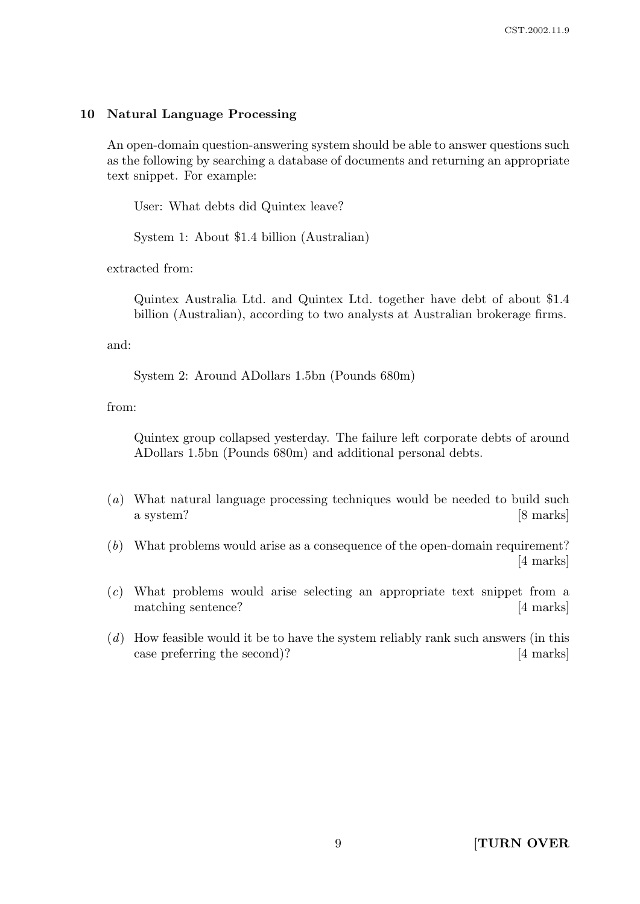#### 10 Natural Language Processing

An open-domain question-answering system should be able to answer questions such as the following by searching a database of documents and returning an appropriate text snippet. For example:

User: What debts did Quintex leave?

System 1: About \$1.4 billion (Australian)

extracted from:

Quintex Australia Ltd. and Quintex Ltd. together have debt of about \$1.4 billion (Australian), according to two analysts at Australian brokerage firms.

and:

System 2: Around ADollars 1.5bn (Pounds 680m)

from:

Quintex group collapsed yesterday. The failure left corporate debts of around ADollars 1.5bn (Pounds 680m) and additional personal debts.

- (a) What natural language processing techniques would be needed to build such a system? [8 marks]
- (b) What problems would arise as a consequence of the open-domain requirement? [4 marks]
- (c) What problems would arise selecting an appropriate text snippet from a matching sentence? [4 marks]
- (d) How feasible would it be to have the system reliably rank such answers (in this case preferring the second)? [4 marks]